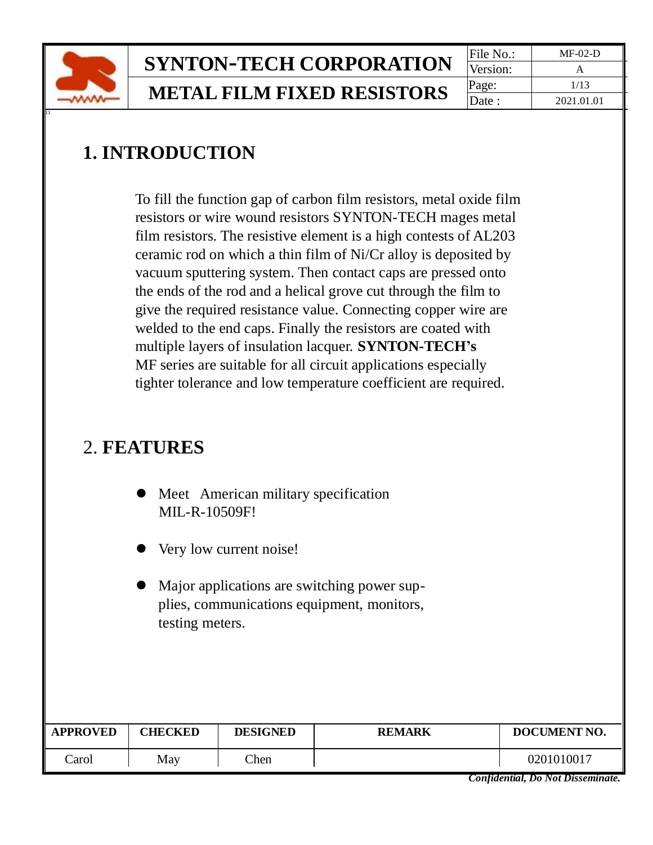

## **SYNTON-TECH CORPORATION** File No.: MF-02-D **METAL FILM FIXED RESISTORS**  $\begin{array}{|c|c|c|c|c|}\n\hline\n\text{Page}: & \text{2021.01}\n\end{array}$

Version: Date : 2021.01.01

## **1. INTRODUCTION**

 To fill the function gap of carbon film resistors, metal oxide film resistors or wire wound resistors SYNTON-TECH mages metal film resistors. The resistive element is a high contests of AL203 ceramic rod on which a thin film of Ni/Cr alloy is deposited by vacuum sputtering system. Then contact caps are pressed onto the ends of the rod and a helical grove cut through the film to give the required resistance value. Connecting copper wire are welded to the end caps. Finally the resistors are coated with multiple layers of insulation lacquer. **SYNTON-TECH's** MF series are suitable for all circuit applications especially tighter tolerance and low temperature coefficient are required.

### 2. **FEATURES**

|  | • Meet American military specification |
|--|----------------------------------------|
|  | <b>MIL-R-10509F!</b>                   |

- ⚫ Very low current noise!
- Major applications are switching power supplies, communications equipment, monitors, testing meters.

| <b>APPROVED</b> | <b>CHECKED</b> | <b>DESIGNED</b> | <b>REMARK</b> | DOCUMENT NO. |
|-----------------|----------------|-----------------|---------------|--------------|
| `arol           | May            | Then            |               | 0201010017   |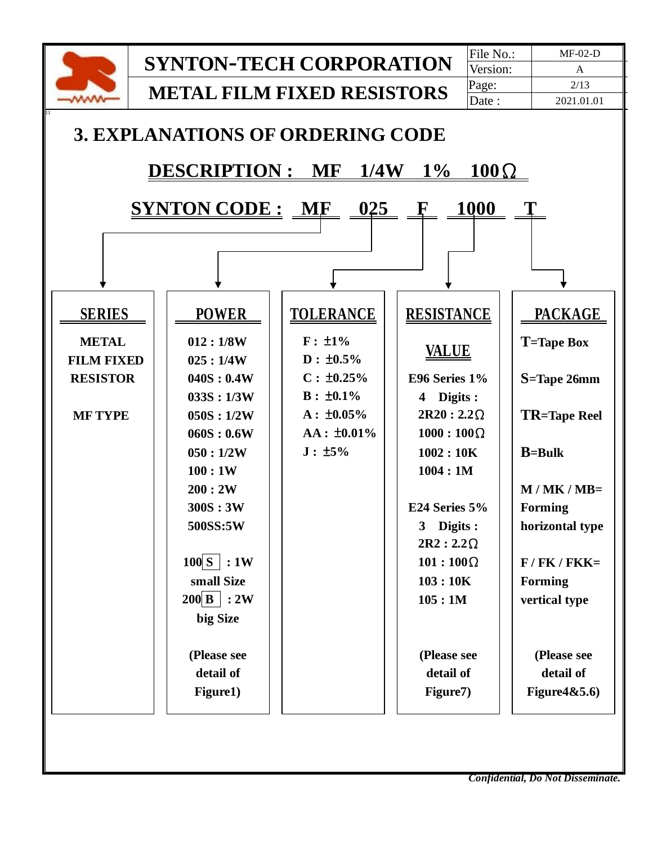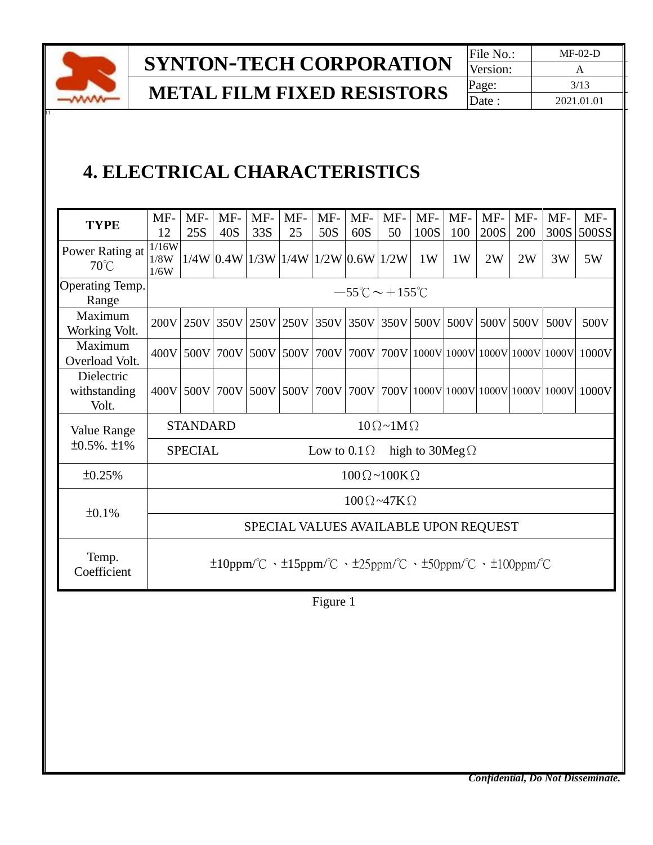

**SYNTON-TECH CORPORATION** File No.: MF-02-D

**METAL FILM FIXED RESISTORS**  $\begin{array}{|c|c|c|c|c|}\n\hline\n\text{Page:} & \text{2021.01} \\
\hline\n\end{array}$ 

Version: Date : 2021.01.01

## **4. ELECTRICAL CHARACTERISTICS**

| <b>TYPE</b>                         | MF-<br>12                                      | MF-<br>25S                                                                               | $MF-$<br>40S | MF-<br>33S                               | $MF-$<br>25    | MF-<br>50S | $MF-$<br>60S | $MF-$<br>50                              | MF-<br>100S                             | $MF-$<br>100 | MF-<br>200S | $MF-$<br>200 | $MF-$<br>300S | MF-<br>500SS |
|-------------------------------------|------------------------------------------------|------------------------------------------------------------------------------------------|--------------|------------------------------------------|----------------|------------|--------------|------------------------------------------|-----------------------------------------|--------------|-------------|--------------|---------------|--------------|
| Power Rating at<br>$70^{\circ}$ C   | 1/16W<br>1/8W<br>1/6W                          |                                                                                          |              | $1/4W$ 0.4W $1/3W$ 1/4W $1/2W$ 0.6W 1/2W |                |            |              |                                          | 1W                                      | 1W           | 2W          | 2W           | 3W            | 5W           |
| Operating Temp.<br>Range            |                                                |                                                                                          |              |                                          |                |            |              | $-55^{\circ}$ C $\sim$ +155 $^{\circ}$ C |                                         |              |             |              |               |              |
| Maximum<br>Working Volt.            | 200V                                           | 250V                                                                                     | 350V         |                                          | 250V 250V      | 350V       | 350V         | 350V                                     |                                         | 500V 500V    | 500V        | 500V         | 500V          | 500V         |
| Maximum<br>Overload Volt.           | 400V                                           | 500V                                                                                     | 700V         |                                          | 500V 500V      | 700V       | 700V         |                                          | 700V 1000V 1000V 1000V 1000V 1000V      |              |             |              |               | 1000V        |
| Dielectric<br>withstanding<br>Volt. | 400V                                           | 500V                                                                                     | 700V         |                                          | 500V 500V 700V |            |              |                                          | 700V 700V 1000V 1000V 1000V 1000V 1000V |              |             |              |               | 1000V        |
| Value Range                         | <b>STANDARD</b><br>$10 \Omega \sim 1 M \Omega$ |                                                                                          |              |                                          |                |            |              |                                          |                                         |              |             |              |               |              |
| $\pm 0.5\%$ . $\pm 1\%$             |                                                | <b>SPECIAL</b><br>Low to $0.1 \Omega$<br>high to $30Meg\Omega$                           |              |                                          |                |            |              |                                          |                                         |              |             |              |               |              |
| ±0.25%                              |                                                | $100 \Omega \sim 100 K \Omega$                                                           |              |                                          |                |            |              |                                          |                                         |              |             |              |               |              |
| ±0.1%                               | $100 \Omega - 47 K \Omega$                     |                                                                                          |              |                                          |                |            |              |                                          |                                         |              |             |              |               |              |
|                                     | SPECIAL VALUES AVAILABLE UPON REQUEST          |                                                                                          |              |                                          |                |            |              |                                          |                                         |              |             |              |               |              |
| Temp.<br>Coefficient                |                                                | $\pm 10$ ppm/°C · $\pm 15$ ppm/°C · $\pm 25$ ppm/°C · $\pm 50$ ppm/°C · $\pm 100$ ppm/°C |              |                                          |                |            |              |                                          |                                         |              |             |              |               |              |

Figure 1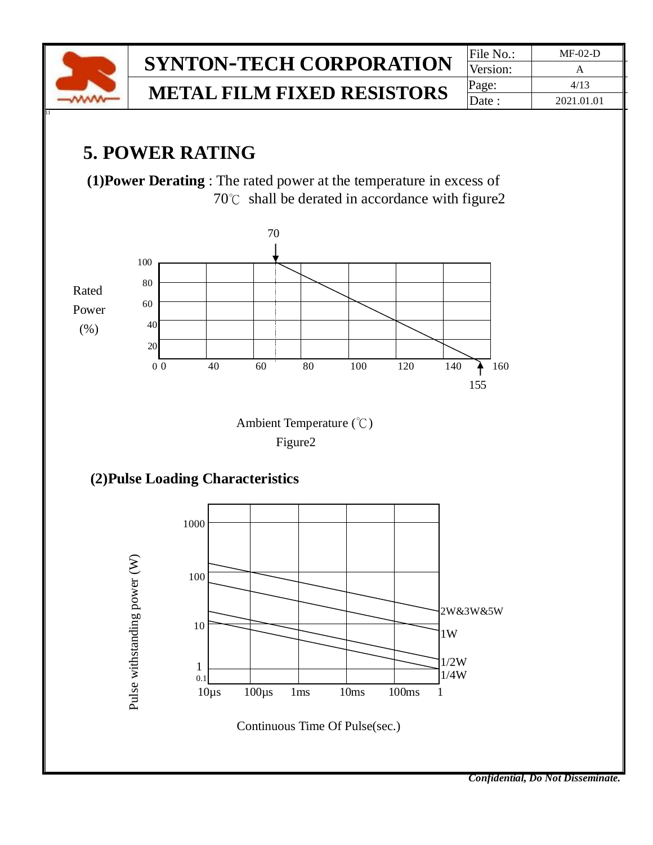

# $SYNTON-TECH CORPORTION$

**METAL FILM FIXED RESISTORS** 

| File No.: | $MF-02-D$  |
|-----------|------------|
| Version:  | А          |
| Page:     | 4/13       |
| Date :    | 2021.01.01 |

### **5. POWER RATING**

 **(1)Power Derating** : The rated power at the temperature in excess of 70℃ shall be derated in accordance with figure2



Continuous Time Of Pulse(sec.)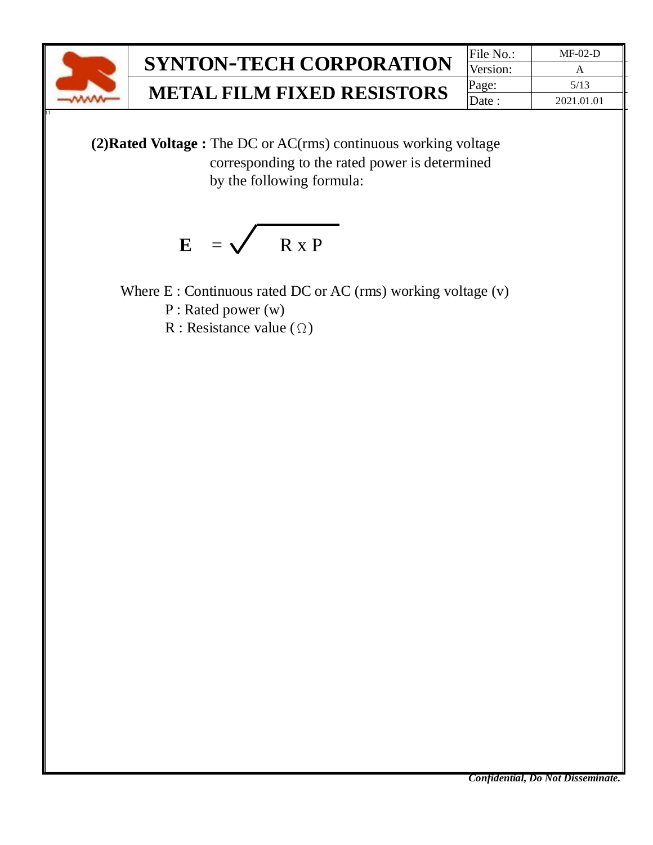

Version: **METAL FILM FIXED RESISTORS**  $\begin{array}{|c|c|c|c|c|}\n\hline\n\text{Page:} & \text{5/13} \\
\hline\n\text{Date:} & \text{2021.01}\n\hline\n\end{array}$ Date : 2021.01.01

 **(2)Rated Voltage :** The DC or AC(rms) continuous working voltage corresponding to the rated power is determined by the following formula:

$$
E = \sqrt{R \times P}
$$

Where E : Continuous rated DC or AC (rms) working voltage (v)

P : Rated power (w)

R : Resistance value  $(\Omega)$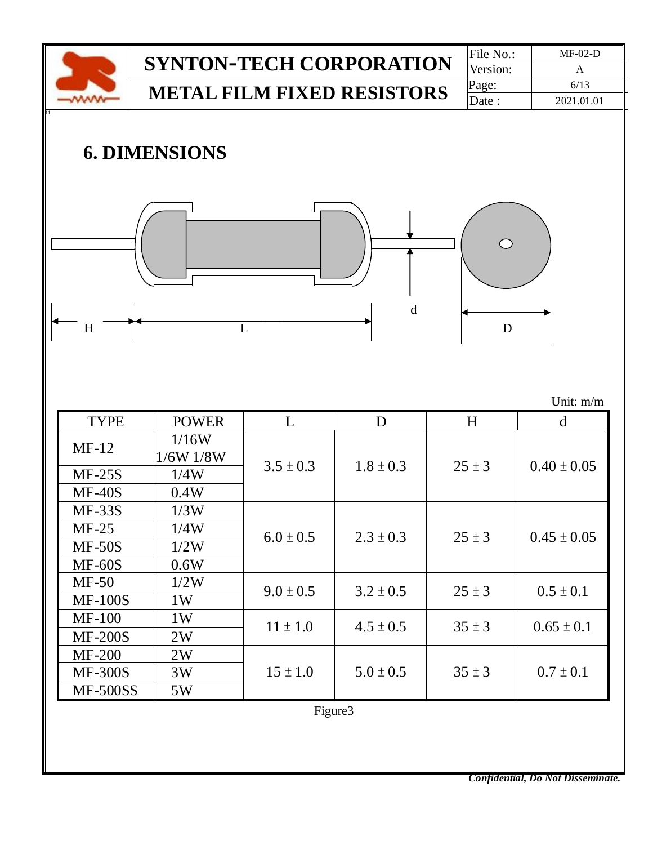|                                                                                       |                                   |                | <b>SYNTON-TECH CORPORATION</b> |                          | File No.:  | $MF-02-D$                          |  |  |  |  |
|---------------------------------------------------------------------------------------|-----------------------------------|----------------|--------------------------------|--------------------------|------------|------------------------------------|--|--|--|--|
|                                                                                       |                                   | Version:       | $\mathbf{A}$                   |                          |            |                                    |  |  |  |  |
|                                                                                       | <b>METAL FILM FIXED RESISTORS</b> | Page:          | 6/13                           |                          |            |                                    |  |  |  |  |
|                                                                                       |                                   | Date:          | 2021.01.01                     |                          |            |                                    |  |  |  |  |
| <b>6. DIMENSIONS</b>                                                                  |                                   |                |                                |                          |            |                                    |  |  |  |  |
| H                                                                                     |                                   | $\overline{L}$ | $\mathbf d$                    |                          | D          |                                    |  |  |  |  |
|                                                                                       |                                   |                |                                |                          |            | Unit: m/m                          |  |  |  |  |
| <b>TYPE</b>                                                                           | <b>POWER</b>                      | L              | D                              |                          | H          | d                                  |  |  |  |  |
| $MF-12$                                                                               | 1/16W                             |                | $1.8 \pm 0.3$                  | $25 \pm 3$<br>$25 \pm 3$ |            | $0.40 \pm 0.05$<br>$0.45 \pm 0.05$ |  |  |  |  |
|                                                                                       | 1/6W 1/8W                         | $3.5 \pm 0.3$  |                                |                          |            |                                    |  |  |  |  |
| $MF-25S$<br>$MF-40S$                                                                  | 1/4W                              |                |                                |                          |            |                                    |  |  |  |  |
| <b>MF-33S</b>                                                                         | 0.4W                              |                |                                |                          |            |                                    |  |  |  |  |
| $MF-25$                                                                               | 1/3W<br>1/4W                      |                |                                |                          |            |                                    |  |  |  |  |
| $MF-50S$                                                                              | 1/2W                              | $6.0 \pm 0.5$  | $2.3 \pm 0.3$                  |                          |            |                                    |  |  |  |  |
| <b>MF-60S</b>                                                                         | 0.6W                              |                |                                |                          |            |                                    |  |  |  |  |
| $MF-50$                                                                               | 1/2W                              |                |                                |                          |            |                                    |  |  |  |  |
| $9.0 \pm 0.5$<br>$0.5 \pm 0.1$<br>$3.2 \pm 0.5$<br>$25 \pm 3$<br><b>MF-100S</b><br>1W |                                   |                |                                |                          |            |                                    |  |  |  |  |
| <b>MF-100</b>                                                                         |                                   |                |                                |                          |            |                                    |  |  |  |  |
| <b>MF-200S</b>                                                                        | 1W<br>2W                          |                | $35 \pm 3$                     | $0.65 \pm 0.1$           |            |                                    |  |  |  |  |
| <b>MF-200</b>                                                                         | 2W                                |                |                                |                          |            |                                    |  |  |  |  |
| <b>MF-300S</b>                                                                        | 3W                                | $15 \pm 1.0$   | $5.0 \pm 0.5$                  |                          | $35 \pm 3$ | $0.7 \pm 0.1$                      |  |  |  |  |
| <b>MF-500SS</b>                                                                       | 5W                                |                |                                |                          |            |                                    |  |  |  |  |
|                                                                                       |                                   |                |                                |                          |            |                                    |  |  |  |  |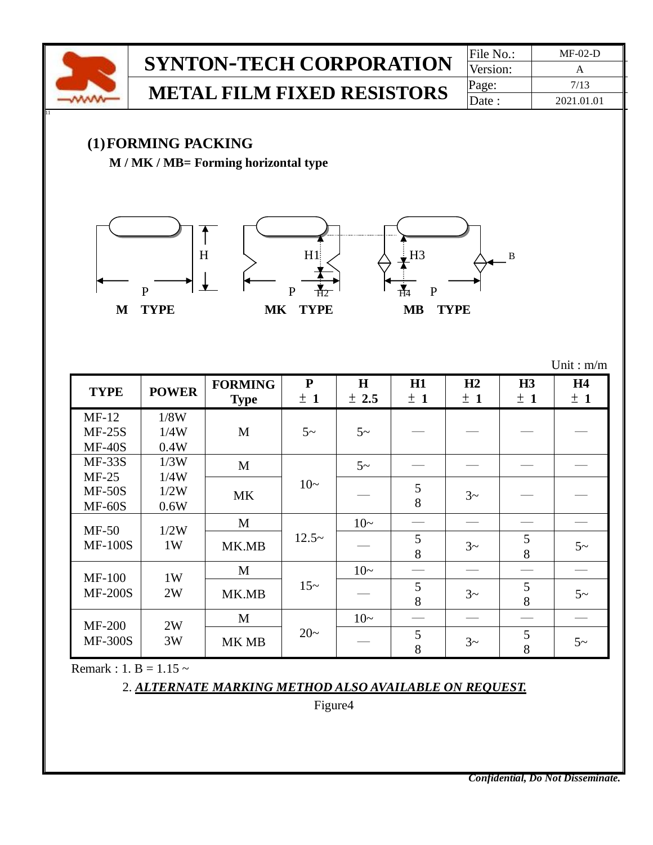

Remark : 1. B =  $1.15 \sim$ 

2. *ALTERNATE MARKING METHOD ALSO AVAILABLE ON REQUEST.*

Figure4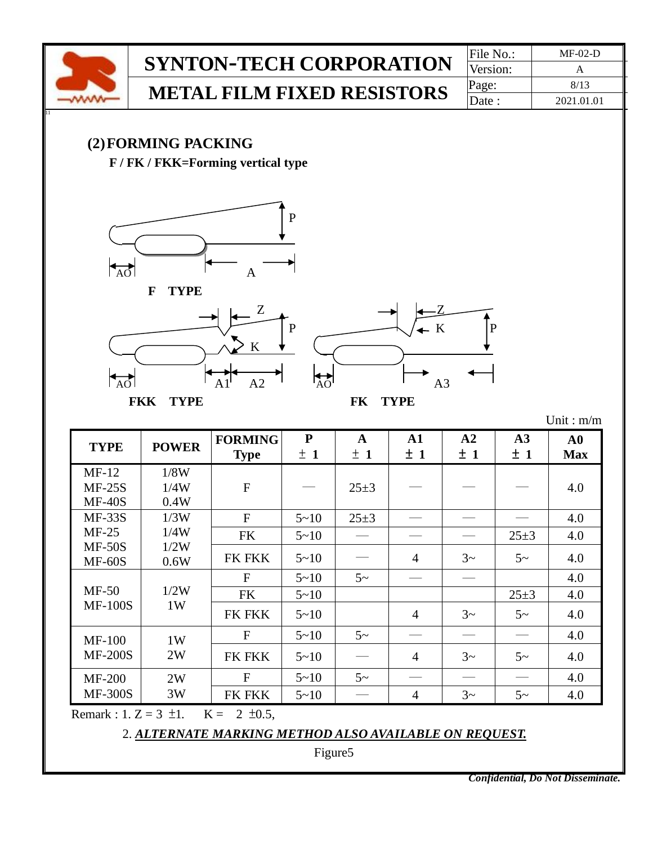

Remark : 1. Z = 3  $\pm$ 1. K = 2  $\pm$ 0.5,

2. *ALTERNATE MARKING METHOD ALSO AVAILABLE ON REQUEST.*

Figure5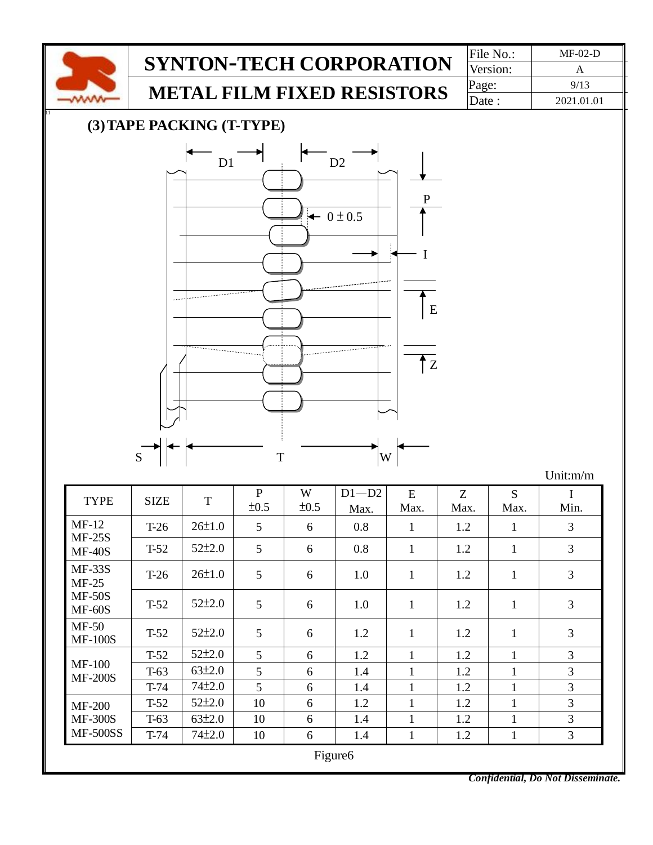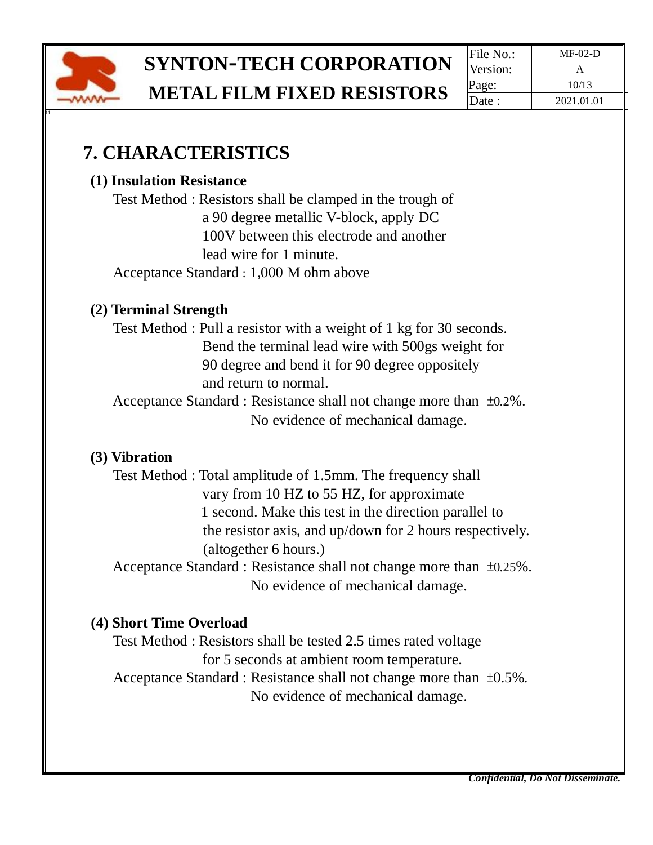

**SYNTON-TECH CORPORATION** File No.: MF-02-D

**METAL FILM FIXED RESISTORS**  $\begin{array}{|c|c|c|c|c|}\n\hline \text{Page}: & \text{10/13} \\
\hline \text{Date}: & \text{2021.01.0}\n\end{array}$ 

Version: Date : 2021.01.01

### **7. CHARACTERISTICS**

#### **(1) Insulation Resistance**

Test Method : Resistors shall be clamped in the trough of a 90 degree metallic V-block, apply DC 100V between this electrode and another lead wire for 1 minute.

Acceptance Standard : 1,000 M ohm above

#### **(2) Terminal Strength**

Test Method : Pull a resistor with a weight of 1 kg for 30 seconds. Bend the terminal lead wire with 500gs weight for 90 degree and bend it for 90 degree oppositely and return to normal.

Acceptance Standard : Resistance shall not change more than ±0.2%. No evidence of mechanical damage.

#### **(3) Vibration**

Test Method : Total amplitude of 1.5mm. The frequency shall vary from 10 HZ to 55 HZ, for approximate 1 second. Make this test in the direction parallel to the resistor axis, and up/down for 2 hours respectively. (altogether 6 hours.)

Acceptance Standard : Resistance shall not change more than ±0.25%. No evidence of mechanical damage.

#### **(4) Short Time Overload**

Test Method : Resistors shall be tested 2.5 times rated voltage for 5 seconds at ambient room temperature.

 Acceptance Standard : Resistance shall not change more than ±0.5%. No evidence of mechanical damage.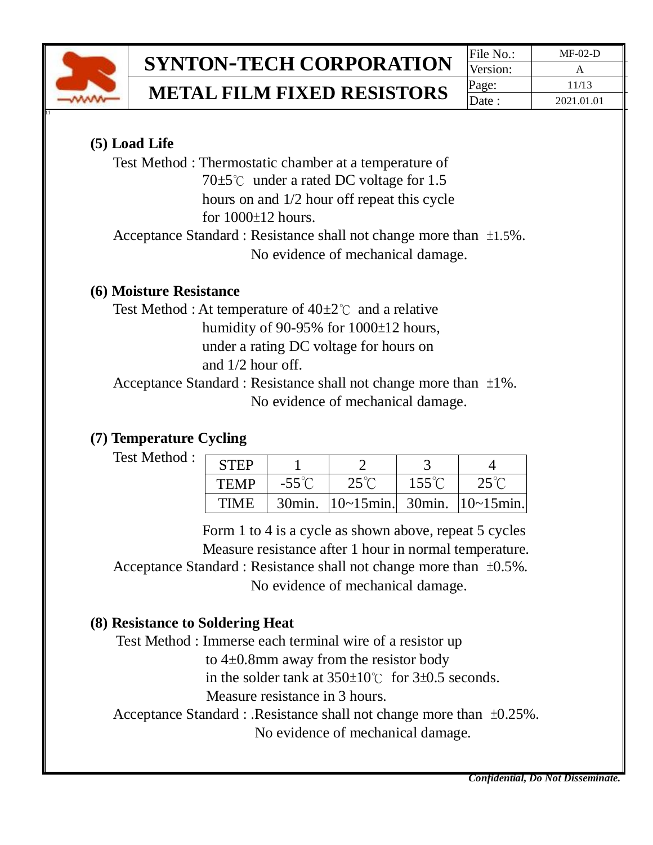

# **SYNTON-TECH CORPORATION** File No.: MF-02-D

**METAL FILM FIXED RESISTORS**  $\begin{array}{|c|c|c|c|c|}\n\hline \text{Page}: & \text{11/13} \\
\hline \text{Date}: & \text{2021.01.0}\n\end{array}$ 

Version: Date : 2021.01.01

#### **(5) Load Life**

Test Method : Thermostatic chamber at a temperature of 70 $±5^{\circ}$ C under a rated DC voltage for 1.5 hours on and 1/2 hour off repeat this cycle for 1000±12 hours.

 Acceptance Standard : Resistance shall not change more than ±1.5%. No evidence of mechanical damage.

#### **(6) Moisture Resistance**

Test Method : At temperature of  $40\pm2^{\circ}$  and a relative humidity of 90-95% for 1000±12 hours, under a rating DC voltage for hours on and 1/2 hour off.

Acceptance Standard : Resistance shall not change more than ±1%. No evidence of mechanical damage.

#### **(7) Temperature Cycling**

Test Method :

| <b>STEP</b> |                 |                                      |                 |                |
|-------------|-----------------|--------------------------------------|-----------------|----------------|
| <b>TEMP</b> | $-55^{\circ}$ C | $25^{\circ}$ C                       | $155^{\circ}$ C | $25^{\circ}$ C |
| TIME        | $30$ min.       | $ 10~-15$ min. 30min. $ 10~-15$ min. |                 |                |

 Form 1 to 4 is a cycle as shown above, repeat 5 cycles Measure resistance after 1 hour in normal temperature. Acceptance Standard : Resistance shall not change more than ±0.5%. No evidence of mechanical damage.

#### **(8) Resistance to Soldering Heat**

Test Method : Immerse each terminal wire of a resistor up

to 4±0.8mm away from the resistor body

in the solder tank at 350±10℃ for 3±0.5 seconds.

Measure resistance in 3 hours.

Acceptance Standard : .Resistance shall not change more than ±0.25%.

No evidence of mechanical damage.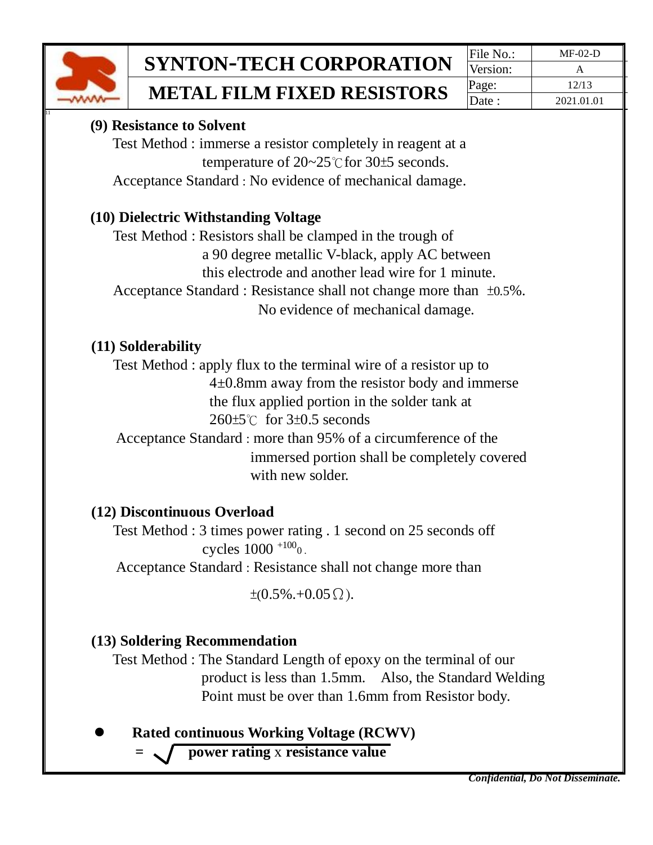

**METAL FILM FIXED RESISTORS**  $\begin{array}{|c|c|c|c|c|}\n\hline \text{Page}: & \text{12/13} \\
\hline \text{Date}: & \text{2021.01.0}\n\end{array}$ 

#### **(9) Resistance to Solvent**

Test Method : immerse a resistor completely in reagent at a temperature of 20~25℃for 30±5 seconds. Acceptance Standard : No evidence of mechanical damage.

#### **(10) Dielectric Withstanding Voltage**

Test Method : Resistors shall be clamped in the trough of a 90 degree metallic V-black, apply AC between this electrode and another lead wire for 1 minute. Acceptance Standard : Resistance shall not change more than ±0.5%. No evidence of mechanical damage.

#### **(11) Solderability**

Test Method : apply flux to the terminal wire of a resistor up to 4±0.8mm away from the resistor body and immerse the flux applied portion in the solder tank at 260±5℃ for 3±0.5 seconds

Acceptance Standard : more than 95% of a circumference of the immersed portion shall be completely covered with new solder.

#### **(12) Discontinuous Overload**

Test Method : 3 times power rating . 1 second on 25 seconds off cycles  $1000^{+100}$ <sub>0</sub>.

Acceptance Standard : Resistance shall not change more than

 $\pm (0.5\% + 0.05\Omega)$ .

#### **(13) Soldering Recommendation**

Test Method : The Standard Length of epoxy on the terminal of our product is less than 1.5mm. Also, the Standard Welding Point must be over than 1.6mm from Resistor body.

⚫ **Rated continuous Working Voltage (RCWV)**

 **= power rating** x **resistance value**